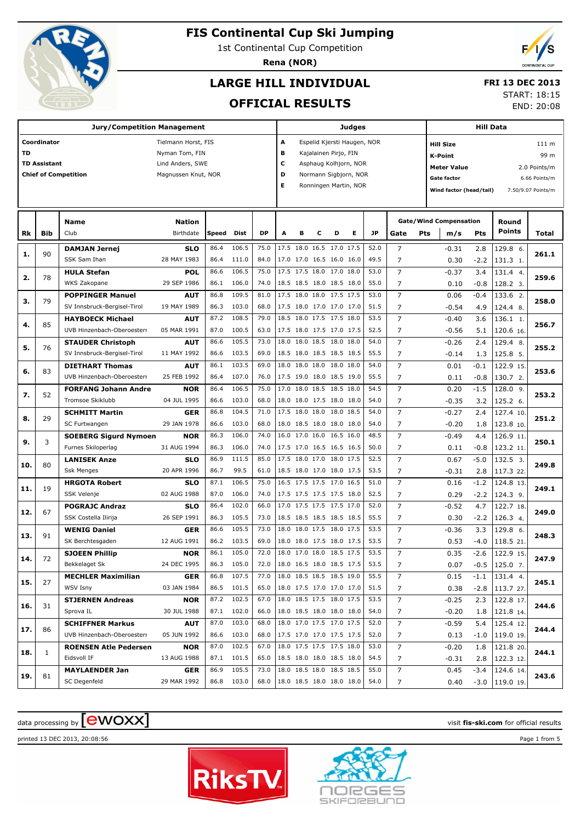

1st Continental Cup Competition

**Rena (NOR)**



# **LARGE HILL INDIVIDUAL**

### **FRI 13 DEC 2013**

### **OFFICIAL RESULTS**

START: 18:15

END: 20:08

|     |                     |                                             | Judges                    |              |                |              |                            |           |                                                 | <b>Hill Data</b> |                             |              |                                  |                                                          |               |                       |                  |  |
|-----|---------------------|---------------------------------------------|---------------------------|--------------|----------------|--------------|----------------------------|-----------|-------------------------------------------------|------------------|-----------------------------|--------------|----------------------------------|----------------------------------------------------------|---------------|-----------------------|------------------|--|
|     | Coordinator         |                                             | Tielmann Horst, FIS       |              |                |              | А                          |           |                                                 |                  | Espelid Kjersti Haugen, NOR |              |                                  | <b>Hill Size</b>                                         |               |                       | 111 <sub>m</sub> |  |
| TD  |                     |                                             | Nyman Tom, FIN            |              |                |              | в                          |           | Kajalainen Pirjo, FIN                           |                  |                             |              |                                  | <b>K-Point</b>                                           |               |                       | 99 m             |  |
|     | <b>TD Assistant</b> |                                             | Lind Anders, SWE          |              |                |              | c                          |           |                                                 |                  | Asphaug Kolhjorn, NOR       |              |                                  |                                                          |               |                       |                  |  |
|     |                     | <b>Chief of Competition</b>                 | Magnussen Knut, NOR       |              |                |              | D<br>Normann Sigbjorn, NOR |           |                                                 |                  |                             |              |                                  | <b>Meter Value</b><br>2.0 Points/m<br><b>Gate factor</b> |               |                       |                  |  |
|     |                     |                                             |                           |              |                |              | Е                          |           |                                                 |                  | Ronningen Martin, NOR       |              |                                  |                                                          |               |                       | 6.66 Points/m    |  |
|     |                     |                                             |                           |              |                |              |                            |           |                                                 |                  |                             |              |                                  | Wind factor (head/tail)<br>7.50/9.07 Points/m            |               |                       |                  |  |
|     |                     |                                             |                           |              |                |              |                            |           |                                                 |                  |                             |              |                                  |                                                          |               |                       |                  |  |
|     |                     | Name                                        | <b>Nation</b>             |              |                |              |                            |           |                                                 |                  |                             |              |                                  | <b>Gate/Wind Compensation</b>                            |               | Round                 |                  |  |
| Rk  | Bib                 | Club                                        | Birthdate                 | Speed        | Dist           | <b>DP</b>    | A                          | в         | с                                               | D                | Е                           | JP           | Gate<br>Pts                      | m/s                                                      | Pts           | <b>Points</b>         | Total            |  |
|     |                     | <b>DAMJAN Jernej</b>                        | <b>SLO</b>                | 86.4         | 106.5          | 75.0         |                            |           | 17.5 18.0 16.5 17.0 17.5                        |                  |                             | 52.0         | $\overline{7}$                   | $-0.31$                                                  | 2.8           | 129.8 6.              |                  |  |
| 1.  | 90                  | SSK Sam Ihan                                | 28 MAY 1983               | 86.4         | 111.0          | 84.0         |                            |           | 17.0 17.0 16.5 16.0 16.0                        |                  |                             | 49.5         | $\overline{7}$                   | 0.30                                                     | $-2.2$        | 131.3 1.              | 261.1            |  |
| 2.  | 78                  | <b>HULA Stefan</b>                          | <b>POL</b>                | 86.6         | 106.5          | 75.0         |                            |           | 17.5 17.5 18.0 17.0 18.0                        |                  |                             | 53.0         | $\overline{7}$                   | $-0.37$                                                  | 3.4           | 131.4 4.              | 259.6            |  |
|     |                     | WKS Zakopane                                | 29 SEP 1986               | 86.1         | 106.0          | 74.0         |                            |           | 18.5 18.5 18.0 18.5 18.0                        |                  |                             | 55.0         | 7                                | 0.10                                                     | $-0.8$        | 128.2 3.              |                  |  |
| з.  | 79                  | <b>POPPINGER Manuel</b>                     | <b>AUT</b>                | 86.8         | 109.5          | 81.0         |                            |           | 17.5 18.0 18.0 17.5 17.5                        |                  |                             | 53.0         | $\overline{7}$                   | 0.06                                                     | $-0.4$        | 133.6 2.              | 258.0            |  |
|     |                     | SV Innsbruck-Bergisel-Tirol                 | 19 MAY 1989               | 86.3         | 103.0          | 68.0         |                            |           | 17.5 18.0 17.0 17.0 17.0                        |                  |                             | 51.5         | $\overline{7}$                   | $-0.54$                                                  | 4.9           | 124.4 8.              |                  |  |
| 4.  | 85                  | <b>HAYBOECK Michael</b>                     | <b>AUT</b>                | 87.2         | 108.5          | 79.0         | 18.5                       |           | 18.0 17.5 17.5 18.0                             |                  |                             | 53.5         | $\overline{7}$                   | $-0.40$                                                  | 3.6           | 136.1 1.              | 256.7            |  |
|     |                     | UVB Hinzenbach-Oberoesterr                  | 05 MAR 1991               | 87.0         | 100.5          | 63.0         |                            |           | 17.5 18.0 17.5 17.0 17.5                        |                  |                             | 52.5         | 7                                | $-0.56$                                                  | 5.1           | 120.6 16.             |                  |  |
| 5.  | 76                  | <b>STAUDER Christoph</b>                    | <b>AUT</b>                | 86.6         | 105.5          | 73.0         | 18.0                       |           | 18.0 18.5 18.0 18.0                             |                  |                             | 54.0         | $\overline{7}$                   | $-0.26$                                                  | 2.4           | 129.4 8.              | 255.2            |  |
|     |                     | SV Innsbruck-Bergisel-Tirol                 | 11 MAY 1992               | 86.6         | 103.5          | 69.0         |                            |           | 18.5 18.0 18.5 18.5 18.5                        |                  |                             | 55.5         | $\overline{7}$                   | $-0.14$                                                  | 1.3           | 125.8 5.              |                  |  |
| 6.  | 83                  | <b>DIETHART Thomas</b>                      | <b>AUT</b>                | 86.1         | 103.5          | 69.0         | 18.0                       | 18.0 18.0 |                                                 | 18.0 18.0        |                             | 54.0         | $\overline{7}$                   | 0.01                                                     | $-0.1$        | 122.9 15.             | 253.6            |  |
|     |                     | UVB Hinzenbach-Oberoesterr                  | 25 FEB 1992               | 86.4         | 107.0          | 76.0         |                            |           | 17.5 19.0 18.0 18.5 19.0                        |                  |                             | 55.5         | 7                                | 0.11                                                     | $-0.8$        | 130.7 2.              |                  |  |
| 7.  | 52                  | <b>FORFANG Johann Andre</b>                 | <b>NOR</b>                | 86.4         | 106.5          | 75.0         | 17.0                       |           | 18.0 18.5 18.5 18.0                             |                  |                             | 54.5         | $\overline{7}$                   | 0.20                                                     | $-1.5$        | 128.0 9.              | 253.2            |  |
|     |                     | Tromsoe Skiklubb                            | 04 JUL 1995               | 86.6         | 103.0          | 68.0         |                            |           | 18.0 18.0 17.5 18.0 18.0                        |                  |                             | 54.0         | $\overline{7}$                   | $-0.35$                                                  | 3.2           | 125.2 6.              |                  |  |
| 8.  | 29                  | <b>SCHMITT Martin</b>                       | <b>GER</b>                | 86.8         | 104.5          | 71.0         | 17.5                       | 18.0 18.0 |                                                 | 18.0             | 18.5                        | 54.0         | $\overline{7}$                   | $-0.27$                                                  | 2.4           | 127.4 10.             | 251.2            |  |
|     |                     | SC Furtwangen                               | 29 JAN 1978               | 86.6         | 103.0          | 68.0         |                            |           | 18.0 18.5 18.0 18.0 18.0                        |                  |                             | 54.0         | 7                                | $-0.20$                                                  | 1.8           | 123.8 10.             |                  |  |
| 9.  | 3                   | <b>SOEBERG Sigurd Nymoen</b>                | <b>NOR</b>                | 86.3         | 106.0          | 74.0         | 16.0                       | 17.0 16.0 |                                                 | 16.5 16.0        |                             | 48.5         | $\overline{7}$                   | $-0.49$                                                  | 4.4           | 126.9 11.             | 250.1            |  |
|     |                     | Furnes Skiloperlag                          | 31 AUG 1994               | 86.3         | 106.0          | 74.0         |                            |           | 17.5 17.0 16.5 16.5 16.5                        |                  |                             | 50.0         | $\overline{7}$                   | 0.11                                                     | $-0.8$        | 123.2 11.             |                  |  |
| 10. | 80                  | <b>LANISEK Anze</b>                         | <b>SLO</b>                | 86.9         | 111.5          | 85.0         | 17.5                       | 18.0 17.0 |                                                 | 18.0 17.5        |                             | 52.5         | $\overline{7}$                   | 0.67                                                     | $-5.0$        | 132.5 3.              | 249.8            |  |
|     |                     | <b>Ssk Menges</b>                           | 20 APR 1996               | 86.7         | 99.5           | 61.0         |                            |           | 18.5 18.0 17.0 18.0 17.5                        |                  |                             | 53.5         | 7                                | $-0.31$                                                  | 2.8           | 117.3 22.             |                  |  |
| 11. | 19                  | <b>HRGOTA Robert</b>                        | <b>SLO</b>                | 87.1         | 106.5          | 75.0         |                            |           | 16.5 17.5 17.5 17.0 16.5                        |                  |                             | 51.0         | $\overline{7}$                   | 0.16                                                     | $-1.2$        | 124.8 13.             | 249.1            |  |
|     |                     | SSK Velenje                                 | 02 AUG 1988               | 87.0         | 106.0          | 74.0         |                            |           | 17.5 17.5 17.5 17.5 18.0<br>17.5 17.5 17.5 17.0 |                  |                             | 52.5         | $\overline{7}$<br>$\overline{7}$ | 0.29                                                     | $-2.2$        | 124.3 9.              |                  |  |
| 12. | 67                  | <b>POGRAJC Andraz</b>                       | <b>SLO</b>                | 86.4         | 102.0<br>105.5 | 66.0<br>73.0 | 17.0                       |           |                                                 |                  |                             | 52.0<br>55.5 | $\overline{7}$                   | $-0.52$                                                  | 4.7           | 122.7 18.<br>126.3 4. | 249.0            |  |
|     |                     | SSK Costella Ilirija<br><b>WENIG Daniel</b> | 26 SEP 1991               | 86.3<br>86.6 | 105.5          | 73.0         | 18.0                       |           | 18.5 18.5 18.5 18.5 18.5<br>18.0 17.5 18.0 17.5 |                  |                             | 53.5         | $\overline{7}$                   | 0.30                                                     | $-2.2$<br>3.3 | 129.8 6.              |                  |  |
| 13. | 91                  | SK Berchtesgaden                            | <b>GER</b><br>12 AUG 1991 | 86.2         | 103.5          | 69.0         |                            |           | 18.0 18.0 17.5 18.0 17.5                        |                  |                             | 53.5         | 7                                | -0.36<br>0.53                                            | $-4.0$        | 118.5 21.             | 248.3            |  |
|     |                     | <b>SJOEEN Phillip</b>                       | <b>NOR</b>                | 86.1         | 105.0          | 72.0         |                            |           | 18.0 17.0 18.0 18.5 17.5                        |                  |                             | 53.5         | $\overline{7}$                   | 0.35                                                     | $-2.6$        | 122.9 15.             |                  |  |
| 14. | 72                  | Bekkelaget Sk                               | 24 DEC 1995               |              | 86.3 105.0     | 72.0         | 18.0 16.5 18.0 18.5 17.5   |           |                                                 |                  |                             | 53.5         | 7                                | 0.07                                                     | $-0.5$        | 125.0 7.              | 247.9            |  |
|     |                     | <b>MECHLER Maximilian</b>                   | <b>GER</b>                | 86.8         | 107.5          | 77.0         | 18.0 18.5 18.5 18.5 19.0   |           |                                                 |                  |                             | 55.5         | $\overline{7}$                   | 0.15                                                     | $-1.1$        | 131.4 4.              |                  |  |
| 15. | 27                  | WSV Isny                                    | 03 JAN 1984               |              | 86.5 101.5     | 65.0         | 18.0 17.5 17.0 17.0 17.0   |           |                                                 |                  |                             | 51.5         | 7                                | 0.38                                                     | $-2.8$        | 113.7 27.             | 245.1            |  |
|     |                     | <b>STJERNEN Andreas</b>                     | <b>NOR</b>                |              | 87.2 102.5     | 67.0         |                            |           | 18.0 18.5 17.5 18.0 17.5                        |                  |                             | 53.5         | $\overline{7}$                   | $-0.25$                                                  | 2.3           | 122.8 17.             |                  |  |
| 16. | 31                  | Sprova IL                                   | 30 JUL 1988               |              | 87.1 102.0     | 66.0         | 18.0 18.5 18.0 18.0 18.0   |           |                                                 |                  |                             | 54.0         | 7                                | $-0.20$                                                  | 1.8           | 121.8 14.             | 244.6            |  |
|     |                     | <b>SCHIFFNER Markus</b>                     | <b>AUT</b>                | 87.0         | 103.0          | 68.0         |                            |           | 18.0 17.0 17.5 17.0 17.5                        |                  |                             | 52.0         | $\overline{7}$                   | $-0.59$                                                  | 5.4           | 125.4 12.             |                  |  |
| 17. | 86                  | UVB Hinzenbach-Oberoesterr                  | 05 JUN 1992               |              | 86.6 103.0     | 68.0         | 17.5 17.0 17.0 17.5 17.5   |           |                                                 |                  |                             | 52.0         | 7                                | 0.13                                                     | -1.0          | 119.0 19.             | 244.4            |  |
|     |                     | <b>ROENSEN Atle Pedersen</b>                | <b>NOR</b>                | 87.0         | 102.5          | 67.0         |                            |           | 18.0 17.5 17.5 17.5 18.0                        |                  |                             | 53.0         | $\overline{7}$                   | $-0.20$                                                  | 1.8           | 121.8 20.             |                  |  |
| 18. | $\mathbf{1}$        | Eidsvoll IF                                 | 13 AUG 1988               |              | 87.1 101.5     | 65.0         | 18.5 18.0 18.0 18.5 18.0   |           |                                                 |                  |                             | 54.5         | 7                                | $-0.31$                                                  | 2.8           | 122.3 12.             | 244.1            |  |
|     |                     | <b>MAYLAENDER Jan</b>                       | <b>GER</b>                | 86.9         | 105.5          | 73.0         |                            |           | 18.0 18.5 18.0 18.5 18.5                        |                  |                             | 55.0         | $\overline{7}$                   | 0.45                                                     | $-3.4$        | 124.6 14.             |                  |  |
| 19. | 81                  | SC Degenfeld                                | 29 MAR 1992               |              | 86.8 103.0     | 68.0         | 18.0 18.5 18.0 18.0 18.0   |           |                                                 |                  |                             | 54.0         | 7                                | 0.40                                                     | $-3.0$        | 119.0 19.             | 243.6            |  |
|     |                     |                                             |                           |              |                |              |                            |           |                                                 |                  |                             |              |                                  |                                                          |               |                       |                  |  |

# data processing by **CWOXX** and  $\overline{C}$  and  $\overline{C}$  and  $\overline{C}$  and  $\overline{C}$  and  $\overline{C}$  and  $\overline{C}$  and  $\overline{C}$  and  $\overline{C}$  and  $\overline{C}$  and  $\overline{C}$  and  $\overline{C}$  and  $\overline{C}$  and  $\overline{C}$  and  $\overline{C}$  and  $\overline{C}$

printed 13 DEC 2013, 20:08:56 Page 1 from 5



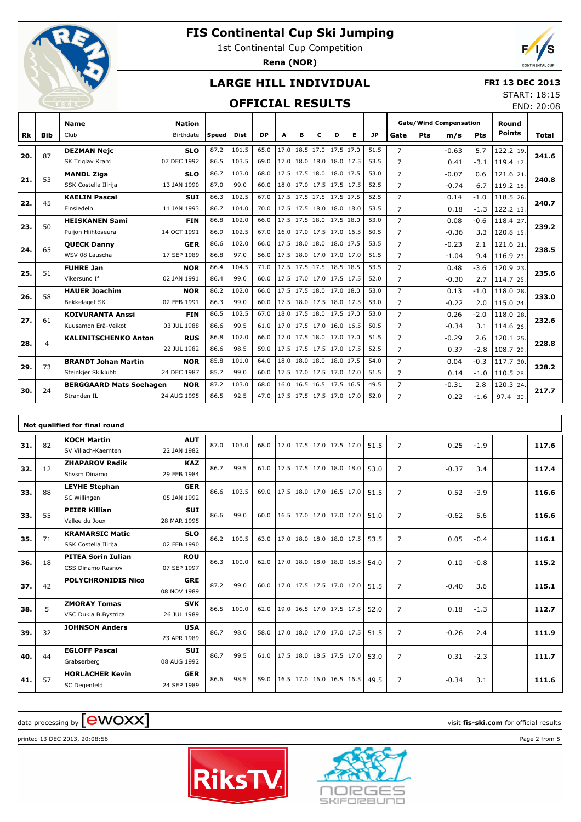

1st Continental Cup Competition

**Rena (NOR)**



## **LARGE HILL INDIVIDUAL**

#### **FRI 13 DEC 2013**

### **OFFICIAL RESULTS**

| START: 18:15 |            |
|--------------|------------|
|              | END: 20:08 |

|     |                | <b>Name</b>                    | <b>Nation</b> |       |             |           |   |   |   |                          |   |           | <b>Gate/Wind Compensation</b> |            |         |            | Round         |       |
|-----|----------------|--------------------------------|---------------|-------|-------------|-----------|---|---|---|--------------------------|---|-----------|-------------------------------|------------|---------|------------|---------------|-------|
| Rk  | <b>Bib</b>     | Club                           | Birthdate     | Speed | <b>Dist</b> | <b>DP</b> | A | в | c | D                        | Е | <b>JP</b> | Gate                          | <b>Pts</b> | m/s     | <b>Pts</b> | <b>Points</b> | Total |
| 20. | 87             | <b>DEZMAN Neic</b>             | <b>SLO</b>    | 87.2  | 101.5       | 65.0      |   |   |   | 17.0 18.5 17.0 17.5 17.0 |   | 51.5      | $\overline{7}$                |            | $-0.63$ | 5.7        | 122.2 19.     | 241.6 |
|     |                | SK Triglav Kranj               | 07 DEC 1992   | 86.5  | 103.5       | 69.0      |   |   |   | 17.0 18.0 18.0 18.0 17.5 |   | 53.5      | $\overline{7}$                |            | 0.41    | $-3.1$     | 119.4 17.     |       |
| 21. | 53             | <b>MANDL Ziga</b>              | <b>SLO</b>    | 86.7  | 103.0       | 68.0      |   |   |   | 17.5 17.5 18.0 18.0 17.5 |   | 53.0      | $\overline{7}$                |            | $-0.07$ | 0.6        | 121.6 21.     | 240.8 |
|     |                | SSK Costella Ilirija           | 13 JAN 1990   | 87.0  | 99.0        | 60.0      |   |   |   | 18.0 17.0 17.5 17.5 17.5 |   | 52.5      | $\overline{7}$                |            | $-0.74$ | 6.7        | 119.2 18.     |       |
| 22. | 45             | <b>KAELIN Pascal</b>           | <b>SUI</b>    | 86.3  | 102.5       | 67.0      |   |   |   | 17.5 17.5 17.5 17.5 17.5 |   | 52.5      | $\overline{7}$                |            | 0.14    | $-1.0$     | 118.5 26.     | 240.7 |
|     |                | Einsiedeln                     | 11 JAN 1993   | 86.7  | 104.0       | 70.0      |   |   |   | 17.5 17.5 18.0 18.0 18.0 |   | 53.5      | 7                             |            | 0.18    | $-1.3$     | 122.2 13.     |       |
| 23. | 50             | <b>HEISKANEN Sami</b>          | <b>FIN</b>    | 86.8  | 102.0       | 66.0      |   |   |   | 17.5 17.5 18.0 17.5 18.0 |   | 53.0      | $\overline{7}$                |            | 0.08    | $-0.6$     | 118.4 27.     | 239.2 |
|     |                | Puijon Hiihtoseura             | 14 OCT 1991   | 86.9  | 102.5       | 67.0      |   |   |   | 16.0 17.0 17.5 17.0 16.5 |   | 50.5      | $\overline{7}$                |            | $-0.36$ | 3.3        | 120.8 15.     |       |
| 24. | 65             | <b>QUECK Danny</b>             | <b>GER</b>    | 86.6  | 102.0       | 66.0      |   |   |   | 17.5 18.0 18.0 18.0 17.5 |   | 53.5      | $\overline{7}$                |            | $-0.23$ | 2.1        | 121.6 21.     | 238.5 |
|     |                | WSV 08 Lauscha                 | 17 SEP 1989   | 86.8  | 97.0        | 56.0      |   |   |   | 17.5 18.0 17.0 17.0 17.0 |   | 51.5      | $\overline{7}$                |            | $-1.04$ | 9.4        | 116.9 23.     |       |
| 25. | 51             | <b>FUHRE Jan</b>               | <b>NOR</b>    | 86.4  | 104.5       | 71.0      |   |   |   | 17.5 17.5 17.5 18.5 18.5 |   | 53.5      | $\overline{7}$                |            | 0.48    | $-3.6$     | 120.9 23.     | 235.6 |
|     |                | Vikersund If                   | 02 JAN 1991   | 86.4  | 99.0        | 60.0      |   |   |   | 17.5 17.0 17.0 17.5 17.5 |   | 52.0      | $\overline{7}$                |            | $-0.30$ | 2.7        | 114.7 25.     |       |
| 26. | 58             | <b>HAUER Joachim</b>           | <b>NOR</b>    | 86.2  | 102.0       | 66.0      |   |   |   | 17.5 17.5 18.0 17.0 18.0 |   | 53.0      | $\overline{7}$                |            | 0.13    | $-1.0$     | 118.0 28.     | 233.0 |
|     |                | Bekkelaget SK                  | 02 FEB 1991   | 86.3  | 99.0        | 60.0      |   |   |   | 17.5 18.0 17.5 18.0 17.5 |   | 53.0      | $\overline{7}$                |            | $-0.22$ | 2.0        | 115.0 24.     |       |
| 27. | 61             | <b>KOIVURANTA Anssi</b>        | <b>FIN</b>    | 86.5  | 102.5       | 67.0      |   |   |   | 18.0 17.5 18.0 17.5 17.0 |   | 53.0      | $\overline{7}$                |            | 0.26    | $-2.0$     | 118.0 28.     | 232.6 |
|     |                | Kuusamon Erä-Veikot            | 03 JUL 1988   | 86.6  | 99.5        | 61.0      |   |   |   | 17.0 17.5 17.0 16.0 16.5 |   | 50.5      | 7                             |            | $-0.34$ | 3.1        | 114.6 26.     |       |
| 28. | $\overline{4}$ | <b>KALINITSCHENKO Anton</b>    | <b>RUS</b>    | 86.8  | 102.0       | 66.0      |   |   |   | 17.0 17.5 18.0 17.0 17.0 |   | 51.5      | $\overline{7}$                |            | $-0.29$ | 2.6        | 120.1 25.     | 228.8 |
|     |                |                                | 22 JUL 1982   | 86.6  | 98.5        | 59.0      |   |   |   | 17.5 17.5 17.5 17.0 17.5 |   | 52.5      | $\overline{7}$                |            | 0.37    | $-2.8$     | 108.7 29.     |       |
| 29. | 73             | <b>BRANDT Johan Martin</b>     | <b>NOR</b>    | 85.8  | 101.0       | 64.0      |   |   |   | 18.0 18.0 18.0 18.0 17.5 |   | 54.0      | $\overline{7}$                |            | 0.04    | $-0.3$     | 117.7 30.     | 228.2 |
|     |                | Steinkjer Skiklubb             | 24 DEC 1987   | 85.7  | 99.0        | 60.0      |   |   |   | 17.5 17.0 17.5 17.0 17.0 |   | 51.5      | $\overline{7}$                |            | 0.14    | $-1.0$     | 110.5 28.     |       |
| 30. | 24             | <b>BERGGAARD Mats Soehagen</b> | <b>NOR</b>    | 87.2  | 103.0       | 68.0      |   |   |   | 16.0 16.5 16.5 17.5 16.5 |   | 49.5      | $\overline{7}$                |            | $-0.31$ | 2.8        | 120.3 24.     | 217.7 |
|     |                | Stranden IL                    | 24 AUG 1995   | 86.5  | 92.5        | 47.0      |   |   |   | 17.5 17.5 17.5 17.0 17.0 |   | 52.0      | 7                             |            | 0.22    | $-1.6$     | 97.4 30.      |       |

|     |    | Not qualified for final round |             |      |       |      |                          |  |      |                |         |        |       |
|-----|----|-------------------------------|-------------|------|-------|------|--------------------------|--|------|----------------|---------|--------|-------|
| 31. | 82 | <b>KOCH Martin</b>            | <b>AUT</b>  | 87.0 | 103.0 | 68.0 | 17.0 17.5 17.0 17.5 17.0 |  | 51.5 | $\overline{7}$ | 0.25    | $-1.9$ | 117.6 |
|     |    | SV Villach-Kaernten           | 22 JAN 1982 |      |       |      |                          |  |      |                |         |        |       |
| 32. | 12 | <b>ZHAPAROV Radik</b>         | <b>KAZ</b>  | 86.7 | 99.5  | 61.0 | 17.5 17.5 17.0 18.0 18.0 |  | 53.0 | $\overline{7}$ | $-0.37$ | 3.4    | 117.4 |
|     |    | Shysm Dinamo                  | 29 FEB 1984 |      |       |      |                          |  |      |                |         |        |       |
| 33. | 88 | <b>LEYHE Stephan</b>          | <b>GER</b>  | 86.6 | 103.5 | 69.0 | 17.5 18.0 17.0 16.5 17.0 |  | 51.5 | $\overline{7}$ | 0.52    | $-3.9$ | 116.6 |
|     |    | SC Willingen                  | 05 JAN 1992 |      |       |      |                          |  |      |                |         |        |       |
| 33. | 55 | <b>PEIER Killian</b>          | <b>SUI</b>  | 86.6 | 99.0  | 60.0 | 16.5 17.0 17.0 17.0 17.0 |  | 51.0 | $\overline{7}$ | $-0.62$ | 5.6    | 116.6 |
|     |    | Vallee du Joux                | 28 MAR 1995 |      |       |      |                          |  |      |                |         |        |       |
| 35. | 71 | <b>KRAMARSIC Matic</b>        | <b>SLO</b>  | 86.2 | 100.5 | 63.0 | 17.0 18.0 18.0 18.0 17.5 |  | 53.5 | $\overline{7}$ | 0.05    | $-0.4$ | 116.1 |
|     |    | SSK Costella Ilirija          | 02 FEB 1990 |      |       |      |                          |  |      |                |         |        |       |
| 36. | 18 | <b>PITEA Sorin Iulian</b>     | <b>ROU</b>  | 86.3 | 100.0 | 62.0 | 17.0 18.0 18.0 18.0 18.5 |  | 54.0 | $\overline{7}$ | 0.10    | $-0.8$ | 115.2 |
|     |    | CSS Dinamo Rasnov             | 07 SEP 1997 |      |       |      |                          |  |      |                |         |        |       |
| 37. | 42 | <b>POLYCHRONIDIS Nico</b>     | <b>GRE</b>  | 87.2 | 99.0  | 60.0 | 17.0 17.5 17.5 17.0 17.0 |  | 51.5 | $\overline{7}$ | $-0.40$ | 3.6    | 115.1 |
|     |    |                               | 08 NOV 1989 |      |       |      |                          |  |      |                |         |        |       |
| 38. | 5  | <b>ZMORAY Tomas</b>           | <b>SVK</b>  | 86.5 | 100.0 | 62.0 | 19.0 16.5 17.0 17.5 17.5 |  | 52.0 | $\overline{7}$ | 0.18    | $-1.3$ | 112.7 |
|     |    | VSC Dukla B.Bystrica          | 26 JUL 1989 |      |       |      |                          |  |      |                |         |        |       |
| 39. | 32 | <b>JOHNSON Anders</b>         | <b>USA</b>  | 86.7 | 98.0  | 58.0 | 17.0 18.0 17.0 17.0 17.5 |  | 51.5 | $\overline{7}$ | $-0.26$ | 2.4    | 111.9 |
|     |    |                               | 23 APR 1989 |      |       |      |                          |  |      |                |         |        |       |
| 40. | 44 | <b>EGLOFF Pascal</b>          | <b>SUI</b>  | 86.7 | 99.5  | 61.0 | 17.5 18.0 18.5 17.5 17.0 |  | 53.0 | $\overline{7}$ | 0.31    | $-2.3$ | 111.7 |
|     |    | Grabserberg                   | 08 AUG 1992 |      |       |      |                          |  |      |                |         |        |       |
| 41. | 57 | <b>HORLACHER Kevin</b>        | <b>GER</b>  | 86.6 | 98.5  | 59.0 | 16.5 17.0 16.0 16.5 16.5 |  | 49.5 | $\overline{7}$ | $-0.34$ | 3.1    | 111.6 |
|     |    | SC Degenfeld                  | 24 SEP 1989 |      |       |      |                          |  |      |                |         |        |       |

# data processing by **CWOXX** and  $\overline{C}$  and  $\overline{C}$  and  $\overline{C}$  and  $\overline{C}$  and  $\overline{C}$  and  $\overline{C}$  and  $\overline{C}$  and  $\overline{C}$  and  $\overline{C}$  and  $\overline{C}$  and  $\overline{C}$  and  $\overline{C}$  and  $\overline{C}$  and  $\overline{C}$  and  $\overline{C}$

printed 13 DEC 2013, 20:08:56 Page 2 from 5



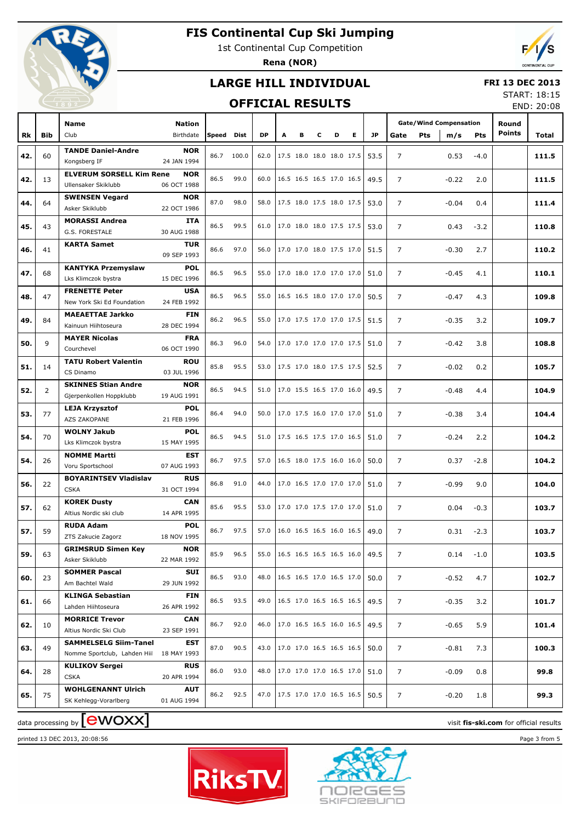

1st Continental Cup Competition

**Rena (NOR)**

## **LARGE HILL INDIVIDUAL**



#### **FRI 13 DEC 2013**

### **OFFICIAL RESULTS**

START: 18:15 END: 20:08

|     |                | Name                                            | Nation                    |            |            |           |   |                          |   |   |   |           |                |     | <b>Gate/Wind Compensation</b> |        | Round         |       |
|-----|----------------|-------------------------------------------------|---------------------------|------------|------------|-----------|---|--------------------------|---|---|---|-----------|----------------|-----|-------------------------------|--------|---------------|-------|
| Rk  | <b>Bib</b>     | Club                                            | Birthdate                 | Speed Dist |            | <b>DP</b> | Α | в                        | c | D | Е | <b>JP</b> | Gate           | Pts | m/s                           | Pts    | <b>Points</b> | Total |
|     |                | <b>TANDE Daniel-Andre</b>                       | <b>NOR</b>                |            |            |           |   |                          |   |   |   |           |                |     |                               |        |               |       |
| 42. | 60             | Kongsberg IF                                    | 24 JAN 1994               |            | 86.7 100.0 | 62.0      |   | 17.5 18.0 18.0 18.0 17.5 |   |   |   | 53.5      | $\overline{7}$ |     | 0.53                          | $-4.0$ |               | 111.5 |
|     |                | <b>ELVERUM SORSELL Kim Rene</b>                 | <b>NOR</b>                | 86.5       | 99.0       | 60.0      |   |                          |   |   |   |           |                |     |                               |        |               |       |
| 42. | 13             | Ullensaker Skiklubb                             | 06 OCT 1988               |            |            |           |   | 16.5 16.5 16.5 17.0 16.5 |   |   |   | 49.5      | $\overline{7}$ |     | $-0.22$                       | 2.0    |               | 111.5 |
| 44. | 64             | <b>SWENSEN Vegard</b>                           | <b>NOR</b>                | 87.0       | 98.0       | 58.0      |   | 17.5 18.0 17.5 18.0 17.5 |   |   |   | 53.0      | $\overline{7}$ |     | $-0.04$                       | 0.4    |               | 111.4 |
|     |                | Asker Skiklubb                                  | 22 OCT 1986               |            |            |           |   |                          |   |   |   |           |                |     |                               |        |               |       |
| 45. | 43             | <b>MORASSI Andrea</b>                           | <b>ITA</b>                | 86.5       | 99.5       | 61.0      |   | 17.0 18.0 18.0 17.5 17.5 |   |   |   | 53.0      | $\overline{7}$ |     | 0.43                          | $-3.2$ |               | 110.8 |
|     |                | G.S. FORESTALE                                  | 30 AUG 1988               |            |            |           |   |                          |   |   |   |           |                |     |                               |        |               |       |
| 46. | 41             | <b>KARTA Samet</b>                              | <b>TUR</b><br>09 SEP 1993 | 86.6       | 97.0       | 56.0      |   | 17.0 17.0 18.0 17.5 17.0 |   |   |   | 51.5      | $\overline{7}$ |     | $-0.30$                       | 2.7    |               | 110.2 |
|     |                | <b>KANTYKA Przemyslaw</b>                       | <b>POL</b>                |            |            |           |   |                          |   |   |   |           |                |     |                               |        |               |       |
| 47. | 68             | Lks Klimczok bystra                             | 15 DEC 1996               | 86.5       | 96.5       | 55.0      |   | 17.0 18.0 17.0 17.0 17.0 |   |   |   | 51.0      | $\overline{7}$ |     | $-0.45$                       | 4.1    |               | 110.1 |
|     |                | <b>FRENETTE Peter</b>                           | <b>USA</b>                |            |            |           |   |                          |   |   |   |           |                |     |                               |        |               |       |
| 48. | 47             | New York Ski Ed Foundation                      | 24 FEB 1992               | 86.5       | 96.5       | 55.0      |   | 16.5 16.5 18.0 17.0 17.0 |   |   |   | 50.5      | $\overline{7}$ |     | $-0.47$                       | 4.3    |               | 109.8 |
| 49. | 84             | <b>MAEAETTAE Jarkko</b>                         | <b>FIN</b>                | 86.2       | 96.5       | 55.0      |   | 17.0 17.5 17.0 17.0 17.5 |   |   |   | 51.5      | $\overline{7}$ |     | $-0.35$                       | 3.2    |               | 109.7 |
|     |                | Kainuun Hiihtoseura                             | 28 DEC 1994               |            |            |           |   |                          |   |   |   |           |                |     |                               |        |               |       |
| 50. | 9              | <b>MAYER Nicolas</b>                            | <b>FRA</b>                | 86.3       | 96.0       | 54.0      |   | 17.0 17.0 17.0 17.0 17.5 |   |   |   | 51.0      | $\overline{7}$ |     | $-0.42$                       | 3.8    |               | 108.8 |
|     |                | Courchevel                                      | 06 OCT 1990               |            |            |           |   |                          |   |   |   |           |                |     |                               |        |               |       |
| 51. | 14             | <b>TATU Robert Valentin</b>                     | <b>ROU</b>                | 85.8       | 95.5       | 53.0      |   | 17.5 17.0 18.0 17.5 17.5 |   |   |   | 52.5      | $\overline{7}$ |     | $-0.02$                       | 0.2    |               | 105.7 |
|     |                | CS Dinamo<br><b>SKINNES Stian Andre</b>         | 03 JUL 1996<br><b>NOR</b> |            |            |           |   |                          |   |   |   |           |                |     |                               |        |               |       |
| 52. | $\overline{2}$ | Gjerpenkollen Hoppklubb                         | 19 AUG 1991               | 86.5       | 94.5       | 51.0      |   | 17.0 15.5 16.5 17.0 16.0 |   |   |   | 49.5      | $\overline{7}$ |     | $-0.48$                       | 4.4    |               | 104.9 |
|     |                | <b>LEJA Krzysztof</b>                           | <b>POL</b>                |            |            |           |   |                          |   |   |   |           |                |     |                               |        |               |       |
| 53. | 77             | AZS ZAKOPANE                                    | 21 FEB 1996               | 86.4       | 94.0       | 50.0      |   | 17.0 17.5 16.0 17.0 17.0 |   |   |   | 51.0      | $\overline{7}$ |     | $-0.38$                       | 3.4    |               | 104.4 |
|     |                | <b>WOLNY Jakub</b>                              | <b>POL</b>                | 86.5       |            | 51.0      |   |                          |   |   |   |           |                |     |                               |        |               |       |
| 54. | 70             | Lks Klimczok bystra                             | 15 MAY 1995               |            | 94.5       |           |   | 17.5 16.5 17.5 17.0 16.5 |   |   |   | 51.0      | $\overline{7}$ |     | $-0.24$                       | 2.2    |               | 104.2 |
| 54. | 26             | <b>NOMME Martti</b>                             | <b>EST</b>                | 86.7       | 97.5       | 57.0      |   | 16.5 18.0 17.5 16.0 16.0 |   |   |   | 50.0      | $\overline{7}$ |     | 0.37                          | $-2.8$ |               | 104.2 |
|     |                | Voru Sportschool                                | 07 AUG 1993               |            |            |           |   |                          |   |   |   |           |                |     |                               |        |               |       |
| 56. | 22             | <b>BOYARINTSEV Vladislav</b>                    | <b>RUS</b>                | 86.8       | 91.0       | 44.0      |   | 17.0 16.5 17.0 17.0 17.0 |   |   |   | 51.0      | $\overline{7}$ |     | $-0.99$                       | 9.0    |               | 104.0 |
|     |                | <b>CSKA</b><br><b>KOREK Dusty</b>               | 31 OCT 1994<br><b>CAN</b> |            |            |           |   |                          |   |   |   |           |                |     |                               |        |               |       |
| 57. | 62             | Altius Nordic ski club                          | 14 APR 1995               | 85.6       | 95.5       | 53.0      |   | 17.0 17.0 17.5 17.0 17.0 |   |   |   | 51.0      | $\overline{7}$ |     | 0.04                          | $-0.3$ |               | 103.7 |
|     |                | <b>RUDA Adam</b>                                | <b>POL</b>                |            |            |           |   |                          |   |   |   |           |                |     |                               |        |               |       |
| 57. | 59             | ZTS Zakucie Zagorz                              | 18 NOV 1995               | 86.7       | 97.5       | 57.0      |   | 16.0 16.5 16.5 16.0 16.5 |   |   |   | 49.0      | $\overline{7}$ |     | 0.31                          | $-2.3$ |               | 103.7 |
| 59. | 63             | <b>GRIMSRUD Simen Key</b>                       | <b>NOR</b>                | 85.9       | 96.5       | 55.0      |   | 16.5 16.5 16.5 16.5 16.0 |   |   |   | 49.5      | $\overline{7}$ |     | 0.14                          | $-1.0$ |               | 103.5 |
|     |                | Asker Skiklubb                                  | 22 MAR 1992               |            |            |           |   |                          |   |   |   |           |                |     |                               |        |               |       |
| 60. | 23             | <b>SOMMER Pascal</b>                            | SUI                       | 86.5       | 93.0       | 48.0      |   | 16.5 16.5 17.0 16.5 17.0 |   |   |   | 50.0      | 7              |     | $-0.52$                       | 4.7    |               | 102.7 |
|     |                | Am Bachtel Wald                                 | 29 JUN 1992               |            |            |           |   |                          |   |   |   |           |                |     |                               |        |               |       |
| 61. | 66             | <b>KLINGA Sebastian</b>                         | <b>FIN</b>                | 86.5       | 93.5       | 49.0      |   | 16.5 17.0 16.5 16.5 16.5 |   |   |   | 49.5      | 7              |     | $-0.35$                       | 3.2    |               | 101.7 |
|     |                | Lahden Hiihtoseura                              | 26 APR 1992               |            |            |           |   |                          |   |   |   |           |                |     |                               |        |               |       |
| 62. | 10             | <b>MORRICE Trevor</b><br>Altius Nordic Ski Club | <b>CAN</b><br>23 SEP 1991 | 86.7       | 92.0       | 46.0      |   | 17.0 16.5 16.5 16.0 16.5 |   |   |   | 49.5      | 7              |     | $-0.65$                       | 5.9    |               | 101.4 |
|     |                | <b>SAMMELSELG Siim-Tanel</b>                    | EST                       |            |            |           |   |                          |   |   |   |           |                |     |                               |        |               |       |
| 63. | 49             | Nomme Sportclub, Lahden Hiil                    | 18 MAY 1993               | 87.0       | 90.5       | 43.0      |   | 17.0 17.0 16.5 16.5 16.5 |   |   |   | 50.0      | 7              |     | $-0.81$                       | 7.3    |               | 100.3 |
|     |                | <b>KULIKOV Sergei</b>                           | <b>RUS</b>                | 86.0       |            |           |   |                          |   |   |   |           |                |     |                               |        |               |       |
| 64. | 28             | <b>CSKA</b>                                     | 20 APR 1994               |            | 93.0       | 48.0      |   | 17.0 17.0 17.0 16.5 17.0 |   |   |   | 51.0      | 7              |     | $-0.09$                       | 0.8    |               | 99.8  |
| 65. | 75             | <b>WOHLGENANNT Ulrich</b>                       | AUT                       | 86.2       | 92.5       | 47.0      |   | 17.5 17.0 17.0 16.5 16.5 |   |   |   | 50.5      | 7              |     | $-0.20$                       | 1.8    |               | 99.3  |
|     |                | SK Kehlegg-Vorarlberg                           | 01 AUG 1994               |            |            |           |   |                          |   |   |   |           |                |     |                               |        |               |       |

printed 13 DEC 2013, 20:08:56 Page 3 from 5

data processing by **CWOXX** and  $\overline{A}$  and  $\overline{B}$  wisit **fis-ski.com** for official results



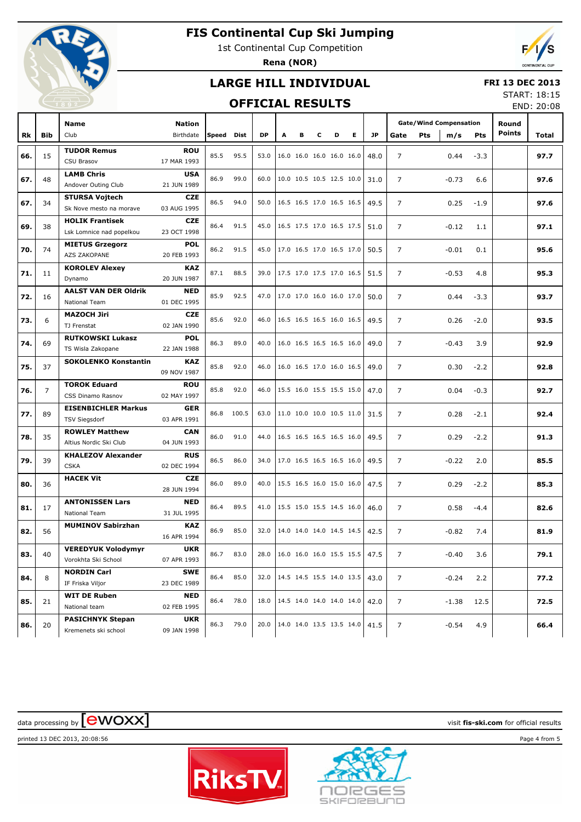

1st Continental Cup Competition

**Rena (NOR)**



### **LARGE HILL INDIVIDUAL**

#### **FRI 13 DEC 2013**

### **OFFICIAL RESULTS**

START: 18:15 END: 20:08

| <b>Gate/Wind Compensation</b><br><b>Name</b><br><b>Nation</b><br>Round<br><b>Points</b><br>E.<br>Club<br>Birthdate<br><b>DP</b><br>JP.<br>Pts<br>Rk<br><b>Bib</b><br>Speed Dist<br>A<br>в<br>Gate<br>m/s<br>Pts<br>Total<br>с<br>D<br><b>TUDOR Remus</b><br><b>ROU</b><br>15<br>85.5<br>95.5<br>53.0<br>16.0 16.0 16.0 16.0 16.0<br>$\overline{7}$<br>97.7<br>66.<br>48.0<br>0.44<br>$-3.3$<br><b>CSU Brasov</b><br>17 MAR 1993<br><b>LAMB Chris</b><br><b>USA</b><br>48<br>86.9<br>99.0<br>60.0<br>10.0 10.5 10.5 12.5 10.0<br>$\overline{7}$<br>97.6<br>67.<br>31.0<br>$-0.73$<br>6.6<br>Andover Outing Club<br>21 JUN 1989<br><b>STURSA Vojtech</b><br><b>CZE</b><br>86.5<br>94.0<br>50.0<br>16.5 16.5 17.0 16.5 16.5<br>$\overline{7}$<br>97.6<br>67.<br>34<br>49.5<br>0.25<br>$-1.9$<br>03 AUG 1995<br>Sk Nove mesto na morave<br><b>HOLIK Frantisek</b><br><b>CZE</b><br>38<br>86.4<br>91.5<br>45.0<br>16.5 17.5 17.0 16.5 17.5<br>$\overline{7}$<br>97.1<br>69.<br>51.0<br>$-0.12$<br>1.1<br>Lsk Lomnice nad popelkou<br>23 OCT 1998<br><b>MIETUS Grzegorz</b><br><b>POL</b><br>70.<br>74<br>86.2<br>91.5<br>45.0<br>17.0 16.5 17.0 16.5 17.0<br>$\overline{7}$<br>50.5<br>$-0.01$<br>0.1<br>95.6<br>AZS ZAKOPANE<br>20 FEB 1993<br><b>KOROLEV Alexey</b><br><b>KAZ</b><br>71.<br>87.1<br>88.5<br>39.0<br>17.5 17.0 17.5 17.0 16.5<br>$\overline{7}$<br>11<br>51.5<br>$-0.53$<br>4.8<br>95.3<br>20 JUN 1987<br>Dynamo<br><b>AALST VAN DER Oldrik</b><br><b>NED</b><br>72.<br>85.9<br>92.5<br>47.0<br>17.0 17.0 16.0 16.0 17.0<br>$\overline{7}$<br>93.7<br>16<br>50.0<br>0.44<br>$-3.3$<br>National Team<br>01 DEC 1995<br><b>MAZOCH Jiri</b><br><b>CZE</b><br>85.6<br>92.0<br>46.0<br>16.5 16.5 16.5 16.0 16.5<br>$\overline{7}$<br>73.<br>6<br>49.5<br>0.26<br>$-2.0$<br>93.5<br>TJ Frenstat<br>02 JAN 1990<br><b>RUTKOWSKI Lukasz</b><br><b>POL</b><br>74.<br>69<br>86.3<br>89.0<br>40.0<br>16.0 16.5 16.5 16.5 16.0<br>$\overline{7}$<br>3.9<br>92.9<br>49.0<br>$-0.43$<br>TS Wisla Zakopane<br>22 JAN 1988<br><b>SOKOLENKO Konstantin</b><br><b>KAZ</b><br>37<br>85.8<br>92.0<br>46.0<br>16.0 16.5 17.0 16.0 16.5<br>$\overline{7}$<br>75.<br>49.0<br>0.30<br>$-2.2$<br>92.8<br>09 NOV 1987<br><b>TOROK Eduard</b><br><b>ROU</b><br>76.<br>$\overline{7}$<br>85.8<br>92.0<br>46.0<br>15.5 16.0 15.5 15.5 15.0<br>$\overline{7}$<br>92.7<br>47.0<br>0.04<br>$-0.3$<br>CSS Dinamo Rasnov<br>02 MAY 1997<br><b>EISENBICHLER Markus</b><br><b>GER</b><br>77.<br>89<br>86.8<br>100.5<br>63.0<br>11.0 10.0 10.0 10.5 11.0<br>$\overline{7}$<br>92.4<br>31.5<br>0.28<br>$-2.1$<br><b>TSV Siegsdorf</b><br>03 APR 1991<br><b>ROWLEY Matthew</b><br><b>CAN</b><br>78.<br>35<br>86.0<br>91.0<br>44.0<br>16.5 16.5 16.5 16.5 16.0<br>$\overline{7}$<br>0.29<br>91.3<br>49.5<br>$-2.2$<br>Altius Nordic Ski Club<br>04 JUN 1993<br><b>KHALEZOV Alexander</b><br><b>RUS</b><br>79.<br>39<br>86.5<br>86.0<br>34.0<br>17.0 16.5 16.5 16.5 16.0<br>$\overline{7}$<br>$-0.22$<br>49.5<br>2.0<br>85.5<br><b>CSKA</b><br>02 DEC 1994<br><b>HACEK Vit</b><br><b>CZE</b><br>$\overline{7}$<br>86.0<br>89.0<br>40.0<br>15.5 16.5 16.0 15.0 16.0<br>0.29<br>85.3<br>80.<br>36<br>47.5<br>$-2.2$<br>28 JUN 1994<br><b>ANTONISSEN Lars</b><br><b>NED</b><br>$\overline{7}$<br>17<br>86.4<br>89.5<br>41.0<br>15.5 15.0 15.5 14.5 16.0<br>0.58<br>82.6<br>81.<br>46.0<br>$-4.4$<br>National Team<br>31 JUL 1995<br><b>MUMINOV Sabirzhan</b><br><b>KAZ</b><br>82.<br>56<br>86.9<br>85.0<br>32.0<br>14.0 14.0 14.0 14.5 14.5<br>$\overline{7}$<br>$-0.82$<br>81.9<br>42.5<br>7.4<br>16 APR 1994<br><b>VEREDYUK Volodymyr</b><br><b>UKR</b><br>83.<br>83.0<br>$\begin{vmatrix} 16.0 & 16.0 & 16.0 & 15.5 & 15.5 \end{vmatrix}$<br>7<br>79.1<br>40<br>86.7<br>28.0<br>47.5<br>$-0.40$<br>3.6<br>Vorokhta Ski School<br>07 APR 1993<br><b>NORDIN Carl</b><br><b>SWE</b><br>85.0<br>32.0   14.5 14.5 15.5 14.0 13.5  <br>$\overline{7}$<br>$-0.24$<br>84.<br>8<br>86.4<br>43.0<br>2.2<br>77.2<br>IF Friska Viljor<br>23 DEC 1989<br><b>WIT DE Ruben</b><br>NED<br>78.0<br>14.5 14.0 14.0 14.0 14.0<br>$\overline{7}$<br>85.<br>21<br>86.4<br>18.0<br>42.0<br>$-1.38$<br>12.5<br>72.5<br>National team<br>02 FEB 1995<br><b>PASICHNYK Stepan</b><br><b>UKR</b><br>79.0<br>86.3<br>20.0   14.0 14.0 13.5 13.5 14.0  <br>$\overline{7}$<br>4.9<br>86.<br>20<br>41.5<br>$-0.54$<br>66.4<br>09 JAN 1998<br>Kremenets ski school |  |  |  |  |  |  |  |  |  |  |
|-------------------------------------------------------------------------------------------------------------------------------------------------------------------------------------------------------------------------------------------------------------------------------------------------------------------------------------------------------------------------------------------------------------------------------------------------------------------------------------------------------------------------------------------------------------------------------------------------------------------------------------------------------------------------------------------------------------------------------------------------------------------------------------------------------------------------------------------------------------------------------------------------------------------------------------------------------------------------------------------------------------------------------------------------------------------------------------------------------------------------------------------------------------------------------------------------------------------------------------------------------------------------------------------------------------------------------------------------------------------------------------------------------------------------------------------------------------------------------------------------------------------------------------------------------------------------------------------------------------------------------------------------------------------------------------------------------------------------------------------------------------------------------------------------------------------------------------------------------------------------------------------------------------------------------------------------------------------------------------------------------------------------------------------------------------------------------------------------------------------------------------------------------------------------------------------------------------------------------------------------------------------------------------------------------------------------------------------------------------------------------------------------------------------------------------------------------------------------------------------------------------------------------------------------------------------------------------------------------------------------------------------------------------------------------------------------------------------------------------------------------------------------------------------------------------------------------------------------------------------------------------------------------------------------------------------------------------------------------------------------------------------------------------------------------------------------------------------------------------------------------------------------------------------------------------------------------------------------------------------------------------------------------------------------------------------------------------------------------------------------------------------------------------------------------------------------------------------------------------------------------------------------------------------------------------------------------------------------------------------------------------------------------------------------------------------------------------------------------------------------------------------------------------------------------------------------------------------------------------------------------------------------------------------------------------------------------------------------------------------------------------------------------------------------------------------------------------------------------------------------------------------------------------------------------------------------------------------------------------------------------------------------------------------------------------------------------------------------------------------------------------------------------|--|--|--|--|--|--|--|--|--|--|
|                                                                                                                                                                                                                                                                                                                                                                                                                                                                                                                                                                                                                                                                                                                                                                                                                                                                                                                                                                                                                                                                                                                                                                                                                                                                                                                                                                                                                                                                                                                                                                                                                                                                                                                                                                                                                                                                                                                                                                                                                                                                                                                                                                                                                                                                                                                                                                                                                                                                                                                                                                                                                                                                                                                                                                                                                                                                                                                                                                                                                                                                                                                                                                                                                                                                                                                                                                                                                                                                                                                                                                                                                                                                                                                                                                                                                                                                                                                                                                                                                                                                                                                                                                                                                                                                                                                                                                                                       |  |  |  |  |  |  |  |  |  |  |
|                                                                                                                                                                                                                                                                                                                                                                                                                                                                                                                                                                                                                                                                                                                                                                                                                                                                                                                                                                                                                                                                                                                                                                                                                                                                                                                                                                                                                                                                                                                                                                                                                                                                                                                                                                                                                                                                                                                                                                                                                                                                                                                                                                                                                                                                                                                                                                                                                                                                                                                                                                                                                                                                                                                                                                                                                                                                                                                                                                                                                                                                                                                                                                                                                                                                                                                                                                                                                                                                                                                                                                                                                                                                                                                                                                                                                                                                                                                                                                                                                                                                                                                                                                                                                                                                                                                                                                                                       |  |  |  |  |  |  |  |  |  |  |
|                                                                                                                                                                                                                                                                                                                                                                                                                                                                                                                                                                                                                                                                                                                                                                                                                                                                                                                                                                                                                                                                                                                                                                                                                                                                                                                                                                                                                                                                                                                                                                                                                                                                                                                                                                                                                                                                                                                                                                                                                                                                                                                                                                                                                                                                                                                                                                                                                                                                                                                                                                                                                                                                                                                                                                                                                                                                                                                                                                                                                                                                                                                                                                                                                                                                                                                                                                                                                                                                                                                                                                                                                                                                                                                                                                                                                                                                                                                                                                                                                                                                                                                                                                                                                                                                                                                                                                                                       |  |  |  |  |  |  |  |  |  |  |
|                                                                                                                                                                                                                                                                                                                                                                                                                                                                                                                                                                                                                                                                                                                                                                                                                                                                                                                                                                                                                                                                                                                                                                                                                                                                                                                                                                                                                                                                                                                                                                                                                                                                                                                                                                                                                                                                                                                                                                                                                                                                                                                                                                                                                                                                                                                                                                                                                                                                                                                                                                                                                                                                                                                                                                                                                                                                                                                                                                                                                                                                                                                                                                                                                                                                                                                                                                                                                                                                                                                                                                                                                                                                                                                                                                                                                                                                                                                                                                                                                                                                                                                                                                                                                                                                                                                                                                                                       |  |  |  |  |  |  |  |  |  |  |
|                                                                                                                                                                                                                                                                                                                                                                                                                                                                                                                                                                                                                                                                                                                                                                                                                                                                                                                                                                                                                                                                                                                                                                                                                                                                                                                                                                                                                                                                                                                                                                                                                                                                                                                                                                                                                                                                                                                                                                                                                                                                                                                                                                                                                                                                                                                                                                                                                                                                                                                                                                                                                                                                                                                                                                                                                                                                                                                                                                                                                                                                                                                                                                                                                                                                                                                                                                                                                                                                                                                                                                                                                                                                                                                                                                                                                                                                                                                                                                                                                                                                                                                                                                                                                                                                                                                                                                                                       |  |  |  |  |  |  |  |  |  |  |
|                                                                                                                                                                                                                                                                                                                                                                                                                                                                                                                                                                                                                                                                                                                                                                                                                                                                                                                                                                                                                                                                                                                                                                                                                                                                                                                                                                                                                                                                                                                                                                                                                                                                                                                                                                                                                                                                                                                                                                                                                                                                                                                                                                                                                                                                                                                                                                                                                                                                                                                                                                                                                                                                                                                                                                                                                                                                                                                                                                                                                                                                                                                                                                                                                                                                                                                                                                                                                                                                                                                                                                                                                                                                                                                                                                                                                                                                                                                                                                                                                                                                                                                                                                                                                                                                                                                                                                                                       |  |  |  |  |  |  |  |  |  |  |
|                                                                                                                                                                                                                                                                                                                                                                                                                                                                                                                                                                                                                                                                                                                                                                                                                                                                                                                                                                                                                                                                                                                                                                                                                                                                                                                                                                                                                                                                                                                                                                                                                                                                                                                                                                                                                                                                                                                                                                                                                                                                                                                                                                                                                                                                                                                                                                                                                                                                                                                                                                                                                                                                                                                                                                                                                                                                                                                                                                                                                                                                                                                                                                                                                                                                                                                                                                                                                                                                                                                                                                                                                                                                                                                                                                                                                                                                                                                                                                                                                                                                                                                                                                                                                                                                                                                                                                                                       |  |  |  |  |  |  |  |  |  |  |
|                                                                                                                                                                                                                                                                                                                                                                                                                                                                                                                                                                                                                                                                                                                                                                                                                                                                                                                                                                                                                                                                                                                                                                                                                                                                                                                                                                                                                                                                                                                                                                                                                                                                                                                                                                                                                                                                                                                                                                                                                                                                                                                                                                                                                                                                                                                                                                                                                                                                                                                                                                                                                                                                                                                                                                                                                                                                                                                                                                                                                                                                                                                                                                                                                                                                                                                                                                                                                                                                                                                                                                                                                                                                                                                                                                                                                                                                                                                                                                                                                                                                                                                                                                                                                                                                                                                                                                                                       |  |  |  |  |  |  |  |  |  |  |
|                                                                                                                                                                                                                                                                                                                                                                                                                                                                                                                                                                                                                                                                                                                                                                                                                                                                                                                                                                                                                                                                                                                                                                                                                                                                                                                                                                                                                                                                                                                                                                                                                                                                                                                                                                                                                                                                                                                                                                                                                                                                                                                                                                                                                                                                                                                                                                                                                                                                                                                                                                                                                                                                                                                                                                                                                                                                                                                                                                                                                                                                                                                                                                                                                                                                                                                                                                                                                                                                                                                                                                                                                                                                                                                                                                                                                                                                                                                                                                                                                                                                                                                                                                                                                                                                                                                                                                                                       |  |  |  |  |  |  |  |  |  |  |
|                                                                                                                                                                                                                                                                                                                                                                                                                                                                                                                                                                                                                                                                                                                                                                                                                                                                                                                                                                                                                                                                                                                                                                                                                                                                                                                                                                                                                                                                                                                                                                                                                                                                                                                                                                                                                                                                                                                                                                                                                                                                                                                                                                                                                                                                                                                                                                                                                                                                                                                                                                                                                                                                                                                                                                                                                                                                                                                                                                                                                                                                                                                                                                                                                                                                                                                                                                                                                                                                                                                                                                                                                                                                                                                                                                                                                                                                                                                                                                                                                                                                                                                                                                                                                                                                                                                                                                                                       |  |  |  |  |  |  |  |  |  |  |
|                                                                                                                                                                                                                                                                                                                                                                                                                                                                                                                                                                                                                                                                                                                                                                                                                                                                                                                                                                                                                                                                                                                                                                                                                                                                                                                                                                                                                                                                                                                                                                                                                                                                                                                                                                                                                                                                                                                                                                                                                                                                                                                                                                                                                                                                                                                                                                                                                                                                                                                                                                                                                                                                                                                                                                                                                                                                                                                                                                                                                                                                                                                                                                                                                                                                                                                                                                                                                                                                                                                                                                                                                                                                                                                                                                                                                                                                                                                                                                                                                                                                                                                                                                                                                                                                                                                                                                                                       |  |  |  |  |  |  |  |  |  |  |
|                                                                                                                                                                                                                                                                                                                                                                                                                                                                                                                                                                                                                                                                                                                                                                                                                                                                                                                                                                                                                                                                                                                                                                                                                                                                                                                                                                                                                                                                                                                                                                                                                                                                                                                                                                                                                                                                                                                                                                                                                                                                                                                                                                                                                                                                                                                                                                                                                                                                                                                                                                                                                                                                                                                                                                                                                                                                                                                                                                                                                                                                                                                                                                                                                                                                                                                                                                                                                                                                                                                                                                                                                                                                                                                                                                                                                                                                                                                                                                                                                                                                                                                                                                                                                                                                                                                                                                                                       |  |  |  |  |  |  |  |  |  |  |
|                                                                                                                                                                                                                                                                                                                                                                                                                                                                                                                                                                                                                                                                                                                                                                                                                                                                                                                                                                                                                                                                                                                                                                                                                                                                                                                                                                                                                                                                                                                                                                                                                                                                                                                                                                                                                                                                                                                                                                                                                                                                                                                                                                                                                                                                                                                                                                                                                                                                                                                                                                                                                                                                                                                                                                                                                                                                                                                                                                                                                                                                                                                                                                                                                                                                                                                                                                                                                                                                                                                                                                                                                                                                                                                                                                                                                                                                                                                                                                                                                                                                                                                                                                                                                                                                                                                                                                                                       |  |  |  |  |  |  |  |  |  |  |
|                                                                                                                                                                                                                                                                                                                                                                                                                                                                                                                                                                                                                                                                                                                                                                                                                                                                                                                                                                                                                                                                                                                                                                                                                                                                                                                                                                                                                                                                                                                                                                                                                                                                                                                                                                                                                                                                                                                                                                                                                                                                                                                                                                                                                                                                                                                                                                                                                                                                                                                                                                                                                                                                                                                                                                                                                                                                                                                                                                                                                                                                                                                                                                                                                                                                                                                                                                                                                                                                                                                                                                                                                                                                                                                                                                                                                                                                                                                                                                                                                                                                                                                                                                                                                                                                                                                                                                                                       |  |  |  |  |  |  |  |  |  |  |
|                                                                                                                                                                                                                                                                                                                                                                                                                                                                                                                                                                                                                                                                                                                                                                                                                                                                                                                                                                                                                                                                                                                                                                                                                                                                                                                                                                                                                                                                                                                                                                                                                                                                                                                                                                                                                                                                                                                                                                                                                                                                                                                                                                                                                                                                                                                                                                                                                                                                                                                                                                                                                                                                                                                                                                                                                                                                                                                                                                                                                                                                                                                                                                                                                                                                                                                                                                                                                                                                                                                                                                                                                                                                                                                                                                                                                                                                                                                                                                                                                                                                                                                                                                                                                                                                                                                                                                                                       |  |  |  |  |  |  |  |  |  |  |
|                                                                                                                                                                                                                                                                                                                                                                                                                                                                                                                                                                                                                                                                                                                                                                                                                                                                                                                                                                                                                                                                                                                                                                                                                                                                                                                                                                                                                                                                                                                                                                                                                                                                                                                                                                                                                                                                                                                                                                                                                                                                                                                                                                                                                                                                                                                                                                                                                                                                                                                                                                                                                                                                                                                                                                                                                                                                                                                                                                                                                                                                                                                                                                                                                                                                                                                                                                                                                                                                                                                                                                                                                                                                                                                                                                                                                                                                                                                                                                                                                                                                                                                                                                                                                                                                                                                                                                                                       |  |  |  |  |  |  |  |  |  |  |
|                                                                                                                                                                                                                                                                                                                                                                                                                                                                                                                                                                                                                                                                                                                                                                                                                                                                                                                                                                                                                                                                                                                                                                                                                                                                                                                                                                                                                                                                                                                                                                                                                                                                                                                                                                                                                                                                                                                                                                                                                                                                                                                                                                                                                                                                                                                                                                                                                                                                                                                                                                                                                                                                                                                                                                                                                                                                                                                                                                                                                                                                                                                                                                                                                                                                                                                                                                                                                                                                                                                                                                                                                                                                                                                                                                                                                                                                                                                                                                                                                                                                                                                                                                                                                                                                                                                                                                                                       |  |  |  |  |  |  |  |  |  |  |
|                                                                                                                                                                                                                                                                                                                                                                                                                                                                                                                                                                                                                                                                                                                                                                                                                                                                                                                                                                                                                                                                                                                                                                                                                                                                                                                                                                                                                                                                                                                                                                                                                                                                                                                                                                                                                                                                                                                                                                                                                                                                                                                                                                                                                                                                                                                                                                                                                                                                                                                                                                                                                                                                                                                                                                                                                                                                                                                                                                                                                                                                                                                                                                                                                                                                                                                                                                                                                                                                                                                                                                                                                                                                                                                                                                                                                                                                                                                                                                                                                                                                                                                                                                                                                                                                                                                                                                                                       |  |  |  |  |  |  |  |  |  |  |
|                                                                                                                                                                                                                                                                                                                                                                                                                                                                                                                                                                                                                                                                                                                                                                                                                                                                                                                                                                                                                                                                                                                                                                                                                                                                                                                                                                                                                                                                                                                                                                                                                                                                                                                                                                                                                                                                                                                                                                                                                                                                                                                                                                                                                                                                                                                                                                                                                                                                                                                                                                                                                                                                                                                                                                                                                                                                                                                                                                                                                                                                                                                                                                                                                                                                                                                                                                                                                                                                                                                                                                                                                                                                                                                                                                                                                                                                                                                                                                                                                                                                                                                                                                                                                                                                                                                                                                                                       |  |  |  |  |  |  |  |  |  |  |
|                                                                                                                                                                                                                                                                                                                                                                                                                                                                                                                                                                                                                                                                                                                                                                                                                                                                                                                                                                                                                                                                                                                                                                                                                                                                                                                                                                                                                                                                                                                                                                                                                                                                                                                                                                                                                                                                                                                                                                                                                                                                                                                                                                                                                                                                                                                                                                                                                                                                                                                                                                                                                                                                                                                                                                                                                                                                                                                                                                                                                                                                                                                                                                                                                                                                                                                                                                                                                                                                                                                                                                                                                                                                                                                                                                                                                                                                                                                                                                                                                                                                                                                                                                                                                                                                                                                                                                                                       |  |  |  |  |  |  |  |  |  |  |
|                                                                                                                                                                                                                                                                                                                                                                                                                                                                                                                                                                                                                                                                                                                                                                                                                                                                                                                                                                                                                                                                                                                                                                                                                                                                                                                                                                                                                                                                                                                                                                                                                                                                                                                                                                                                                                                                                                                                                                                                                                                                                                                                                                                                                                                                                                                                                                                                                                                                                                                                                                                                                                                                                                                                                                                                                                                                                                                                                                                                                                                                                                                                                                                                                                                                                                                                                                                                                                                                                                                                                                                                                                                                                                                                                                                                                                                                                                                                                                                                                                                                                                                                                                                                                                                                                                                                                                                                       |  |  |  |  |  |  |  |  |  |  |
|                                                                                                                                                                                                                                                                                                                                                                                                                                                                                                                                                                                                                                                                                                                                                                                                                                                                                                                                                                                                                                                                                                                                                                                                                                                                                                                                                                                                                                                                                                                                                                                                                                                                                                                                                                                                                                                                                                                                                                                                                                                                                                                                                                                                                                                                                                                                                                                                                                                                                                                                                                                                                                                                                                                                                                                                                                                                                                                                                                                                                                                                                                                                                                                                                                                                                                                                                                                                                                                                                                                                                                                                                                                                                                                                                                                                                                                                                                                                                                                                                                                                                                                                                                                                                                                                                                                                                                                                       |  |  |  |  |  |  |  |  |  |  |
|                                                                                                                                                                                                                                                                                                                                                                                                                                                                                                                                                                                                                                                                                                                                                                                                                                                                                                                                                                                                                                                                                                                                                                                                                                                                                                                                                                                                                                                                                                                                                                                                                                                                                                                                                                                                                                                                                                                                                                                                                                                                                                                                                                                                                                                                                                                                                                                                                                                                                                                                                                                                                                                                                                                                                                                                                                                                                                                                                                                                                                                                                                                                                                                                                                                                                                                                                                                                                                                                                                                                                                                                                                                                                                                                                                                                                                                                                                                                                                                                                                                                                                                                                                                                                                                                                                                                                                                                       |  |  |  |  |  |  |  |  |  |  |
|                                                                                                                                                                                                                                                                                                                                                                                                                                                                                                                                                                                                                                                                                                                                                                                                                                                                                                                                                                                                                                                                                                                                                                                                                                                                                                                                                                                                                                                                                                                                                                                                                                                                                                                                                                                                                                                                                                                                                                                                                                                                                                                                                                                                                                                                                                                                                                                                                                                                                                                                                                                                                                                                                                                                                                                                                                                                                                                                                                                                                                                                                                                                                                                                                                                                                                                                                                                                                                                                                                                                                                                                                                                                                                                                                                                                                                                                                                                                                                                                                                                                                                                                                                                                                                                                                                                                                                                                       |  |  |  |  |  |  |  |  |  |  |
|                                                                                                                                                                                                                                                                                                                                                                                                                                                                                                                                                                                                                                                                                                                                                                                                                                                                                                                                                                                                                                                                                                                                                                                                                                                                                                                                                                                                                                                                                                                                                                                                                                                                                                                                                                                                                                                                                                                                                                                                                                                                                                                                                                                                                                                                                                                                                                                                                                                                                                                                                                                                                                                                                                                                                                                                                                                                                                                                                                                                                                                                                                                                                                                                                                                                                                                                                                                                                                                                                                                                                                                                                                                                                                                                                                                                                                                                                                                                                                                                                                                                                                                                                                                                                                                                                                                                                                                                       |  |  |  |  |  |  |  |  |  |  |
|                                                                                                                                                                                                                                                                                                                                                                                                                                                                                                                                                                                                                                                                                                                                                                                                                                                                                                                                                                                                                                                                                                                                                                                                                                                                                                                                                                                                                                                                                                                                                                                                                                                                                                                                                                                                                                                                                                                                                                                                                                                                                                                                                                                                                                                                                                                                                                                                                                                                                                                                                                                                                                                                                                                                                                                                                                                                                                                                                                                                                                                                                                                                                                                                                                                                                                                                                                                                                                                                                                                                                                                                                                                                                                                                                                                                                                                                                                                                                                                                                                                                                                                                                                                                                                                                                                                                                                                                       |  |  |  |  |  |  |  |  |  |  |
|                                                                                                                                                                                                                                                                                                                                                                                                                                                                                                                                                                                                                                                                                                                                                                                                                                                                                                                                                                                                                                                                                                                                                                                                                                                                                                                                                                                                                                                                                                                                                                                                                                                                                                                                                                                                                                                                                                                                                                                                                                                                                                                                                                                                                                                                                                                                                                                                                                                                                                                                                                                                                                                                                                                                                                                                                                                                                                                                                                                                                                                                                                                                                                                                                                                                                                                                                                                                                                                                                                                                                                                                                                                                                                                                                                                                                                                                                                                                                                                                                                                                                                                                                                                                                                                                                                                                                                                                       |  |  |  |  |  |  |  |  |  |  |
|                                                                                                                                                                                                                                                                                                                                                                                                                                                                                                                                                                                                                                                                                                                                                                                                                                                                                                                                                                                                                                                                                                                                                                                                                                                                                                                                                                                                                                                                                                                                                                                                                                                                                                                                                                                                                                                                                                                                                                                                                                                                                                                                                                                                                                                                                                                                                                                                                                                                                                                                                                                                                                                                                                                                                                                                                                                                                                                                                                                                                                                                                                                                                                                                                                                                                                                                                                                                                                                                                                                                                                                                                                                                                                                                                                                                                                                                                                                                                                                                                                                                                                                                                                                                                                                                                                                                                                                                       |  |  |  |  |  |  |  |  |  |  |
|                                                                                                                                                                                                                                                                                                                                                                                                                                                                                                                                                                                                                                                                                                                                                                                                                                                                                                                                                                                                                                                                                                                                                                                                                                                                                                                                                                                                                                                                                                                                                                                                                                                                                                                                                                                                                                                                                                                                                                                                                                                                                                                                                                                                                                                                                                                                                                                                                                                                                                                                                                                                                                                                                                                                                                                                                                                                                                                                                                                                                                                                                                                                                                                                                                                                                                                                                                                                                                                                                                                                                                                                                                                                                                                                                                                                                                                                                                                                                                                                                                                                                                                                                                                                                                                                                                                                                                                                       |  |  |  |  |  |  |  |  |  |  |
|                                                                                                                                                                                                                                                                                                                                                                                                                                                                                                                                                                                                                                                                                                                                                                                                                                                                                                                                                                                                                                                                                                                                                                                                                                                                                                                                                                                                                                                                                                                                                                                                                                                                                                                                                                                                                                                                                                                                                                                                                                                                                                                                                                                                                                                                                                                                                                                                                                                                                                                                                                                                                                                                                                                                                                                                                                                                                                                                                                                                                                                                                                                                                                                                                                                                                                                                                                                                                                                                                                                                                                                                                                                                                                                                                                                                                                                                                                                                                                                                                                                                                                                                                                                                                                                                                                                                                                                                       |  |  |  |  |  |  |  |  |  |  |
|                                                                                                                                                                                                                                                                                                                                                                                                                                                                                                                                                                                                                                                                                                                                                                                                                                                                                                                                                                                                                                                                                                                                                                                                                                                                                                                                                                                                                                                                                                                                                                                                                                                                                                                                                                                                                                                                                                                                                                                                                                                                                                                                                                                                                                                                                                                                                                                                                                                                                                                                                                                                                                                                                                                                                                                                                                                                                                                                                                                                                                                                                                                                                                                                                                                                                                                                                                                                                                                                                                                                                                                                                                                                                                                                                                                                                                                                                                                                                                                                                                                                                                                                                                                                                                                                                                                                                                                                       |  |  |  |  |  |  |  |  |  |  |
|                                                                                                                                                                                                                                                                                                                                                                                                                                                                                                                                                                                                                                                                                                                                                                                                                                                                                                                                                                                                                                                                                                                                                                                                                                                                                                                                                                                                                                                                                                                                                                                                                                                                                                                                                                                                                                                                                                                                                                                                                                                                                                                                                                                                                                                                                                                                                                                                                                                                                                                                                                                                                                                                                                                                                                                                                                                                                                                                                                                                                                                                                                                                                                                                                                                                                                                                                                                                                                                                                                                                                                                                                                                                                                                                                                                                                                                                                                                                                                                                                                                                                                                                                                                                                                                                                                                                                                                                       |  |  |  |  |  |  |  |  |  |  |
|                                                                                                                                                                                                                                                                                                                                                                                                                                                                                                                                                                                                                                                                                                                                                                                                                                                                                                                                                                                                                                                                                                                                                                                                                                                                                                                                                                                                                                                                                                                                                                                                                                                                                                                                                                                                                                                                                                                                                                                                                                                                                                                                                                                                                                                                                                                                                                                                                                                                                                                                                                                                                                                                                                                                                                                                                                                                                                                                                                                                                                                                                                                                                                                                                                                                                                                                                                                                                                                                                                                                                                                                                                                                                                                                                                                                                                                                                                                                                                                                                                                                                                                                                                                                                                                                                                                                                                                                       |  |  |  |  |  |  |  |  |  |  |
|                                                                                                                                                                                                                                                                                                                                                                                                                                                                                                                                                                                                                                                                                                                                                                                                                                                                                                                                                                                                                                                                                                                                                                                                                                                                                                                                                                                                                                                                                                                                                                                                                                                                                                                                                                                                                                                                                                                                                                                                                                                                                                                                                                                                                                                                                                                                                                                                                                                                                                                                                                                                                                                                                                                                                                                                                                                                                                                                                                                                                                                                                                                                                                                                                                                                                                                                                                                                                                                                                                                                                                                                                                                                                                                                                                                                                                                                                                                                                                                                                                                                                                                                                                                                                                                                                                                                                                                                       |  |  |  |  |  |  |  |  |  |  |
|                                                                                                                                                                                                                                                                                                                                                                                                                                                                                                                                                                                                                                                                                                                                                                                                                                                                                                                                                                                                                                                                                                                                                                                                                                                                                                                                                                                                                                                                                                                                                                                                                                                                                                                                                                                                                                                                                                                                                                                                                                                                                                                                                                                                                                                                                                                                                                                                                                                                                                                                                                                                                                                                                                                                                                                                                                                                                                                                                                                                                                                                                                                                                                                                                                                                                                                                                                                                                                                                                                                                                                                                                                                                                                                                                                                                                                                                                                                                                                                                                                                                                                                                                                                                                                                                                                                                                                                                       |  |  |  |  |  |  |  |  |  |  |
|                                                                                                                                                                                                                                                                                                                                                                                                                                                                                                                                                                                                                                                                                                                                                                                                                                                                                                                                                                                                                                                                                                                                                                                                                                                                                                                                                                                                                                                                                                                                                                                                                                                                                                                                                                                                                                                                                                                                                                                                                                                                                                                                                                                                                                                                                                                                                                                                                                                                                                                                                                                                                                                                                                                                                                                                                                                                                                                                                                                                                                                                                                                                                                                                                                                                                                                                                                                                                                                                                                                                                                                                                                                                                                                                                                                                                                                                                                                                                                                                                                                                                                                                                                                                                                                                                                                                                                                                       |  |  |  |  |  |  |  |  |  |  |
|                                                                                                                                                                                                                                                                                                                                                                                                                                                                                                                                                                                                                                                                                                                                                                                                                                                                                                                                                                                                                                                                                                                                                                                                                                                                                                                                                                                                                                                                                                                                                                                                                                                                                                                                                                                                                                                                                                                                                                                                                                                                                                                                                                                                                                                                                                                                                                                                                                                                                                                                                                                                                                                                                                                                                                                                                                                                                                                                                                                                                                                                                                                                                                                                                                                                                                                                                                                                                                                                                                                                                                                                                                                                                                                                                                                                                                                                                                                                                                                                                                                                                                                                                                                                                                                                                                                                                                                                       |  |  |  |  |  |  |  |  |  |  |
|                                                                                                                                                                                                                                                                                                                                                                                                                                                                                                                                                                                                                                                                                                                                                                                                                                                                                                                                                                                                                                                                                                                                                                                                                                                                                                                                                                                                                                                                                                                                                                                                                                                                                                                                                                                                                                                                                                                                                                                                                                                                                                                                                                                                                                                                                                                                                                                                                                                                                                                                                                                                                                                                                                                                                                                                                                                                                                                                                                                                                                                                                                                                                                                                                                                                                                                                                                                                                                                                                                                                                                                                                                                                                                                                                                                                                                                                                                                                                                                                                                                                                                                                                                                                                                                                                                                                                                                                       |  |  |  |  |  |  |  |  |  |  |
|                                                                                                                                                                                                                                                                                                                                                                                                                                                                                                                                                                                                                                                                                                                                                                                                                                                                                                                                                                                                                                                                                                                                                                                                                                                                                                                                                                                                                                                                                                                                                                                                                                                                                                                                                                                                                                                                                                                                                                                                                                                                                                                                                                                                                                                                                                                                                                                                                                                                                                                                                                                                                                                                                                                                                                                                                                                                                                                                                                                                                                                                                                                                                                                                                                                                                                                                                                                                                                                                                                                                                                                                                                                                                                                                                                                                                                                                                                                                                                                                                                                                                                                                                                                                                                                                                                                                                                                                       |  |  |  |  |  |  |  |  |  |  |
|                                                                                                                                                                                                                                                                                                                                                                                                                                                                                                                                                                                                                                                                                                                                                                                                                                                                                                                                                                                                                                                                                                                                                                                                                                                                                                                                                                                                                                                                                                                                                                                                                                                                                                                                                                                                                                                                                                                                                                                                                                                                                                                                                                                                                                                                                                                                                                                                                                                                                                                                                                                                                                                                                                                                                                                                                                                                                                                                                                                                                                                                                                                                                                                                                                                                                                                                                                                                                                                                                                                                                                                                                                                                                                                                                                                                                                                                                                                                                                                                                                                                                                                                                                                                                                                                                                                                                                                                       |  |  |  |  |  |  |  |  |  |  |
|                                                                                                                                                                                                                                                                                                                                                                                                                                                                                                                                                                                                                                                                                                                                                                                                                                                                                                                                                                                                                                                                                                                                                                                                                                                                                                                                                                                                                                                                                                                                                                                                                                                                                                                                                                                                                                                                                                                                                                                                                                                                                                                                                                                                                                                                                                                                                                                                                                                                                                                                                                                                                                                                                                                                                                                                                                                                                                                                                                                                                                                                                                                                                                                                                                                                                                                                                                                                                                                                                                                                                                                                                                                                                                                                                                                                                                                                                                                                                                                                                                                                                                                                                                                                                                                                                                                                                                                                       |  |  |  |  |  |  |  |  |  |  |
|                                                                                                                                                                                                                                                                                                                                                                                                                                                                                                                                                                                                                                                                                                                                                                                                                                                                                                                                                                                                                                                                                                                                                                                                                                                                                                                                                                                                                                                                                                                                                                                                                                                                                                                                                                                                                                                                                                                                                                                                                                                                                                                                                                                                                                                                                                                                                                                                                                                                                                                                                                                                                                                                                                                                                                                                                                                                                                                                                                                                                                                                                                                                                                                                                                                                                                                                                                                                                                                                                                                                                                                                                                                                                                                                                                                                                                                                                                                                                                                                                                                                                                                                                                                                                                                                                                                                                                                                       |  |  |  |  |  |  |  |  |  |  |
|                                                                                                                                                                                                                                                                                                                                                                                                                                                                                                                                                                                                                                                                                                                                                                                                                                                                                                                                                                                                                                                                                                                                                                                                                                                                                                                                                                                                                                                                                                                                                                                                                                                                                                                                                                                                                                                                                                                                                                                                                                                                                                                                                                                                                                                                                                                                                                                                                                                                                                                                                                                                                                                                                                                                                                                                                                                                                                                                                                                                                                                                                                                                                                                                                                                                                                                                                                                                                                                                                                                                                                                                                                                                                                                                                                                                                                                                                                                                                                                                                                                                                                                                                                                                                                                                                                                                                                                                       |  |  |  |  |  |  |  |  |  |  |

data processing by **CWOXX** and  $\overline{C}$  and  $\overline{C}$  and  $\overline{C}$  and  $\overline{C}$  and  $\overline{C}$  and  $\overline{C}$  and  $\overline{C}$  and  $\overline{C}$  and  $\overline{C}$  and  $\overline{C}$  and  $\overline{C}$  and  $\overline{C}$  and  $\overline{C}$  and  $\overline{C}$  and  $\overline{C}$ 

printed 13 DEC 2013, 20:08:56 Page 4 from 5



**RiksTV**